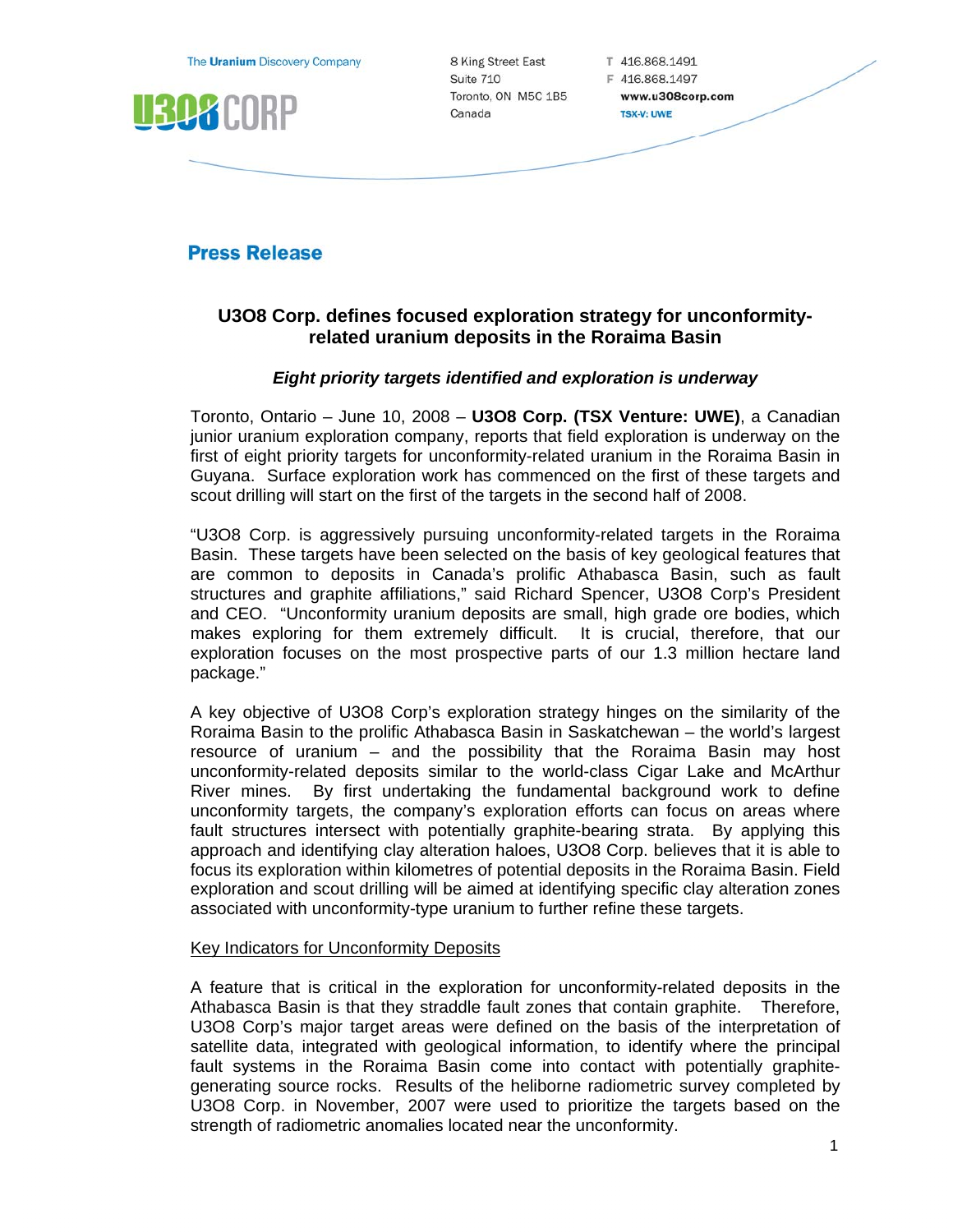The Uranium Discovery Company



8 King Street East Suite 710 Toronto, ON M5C 1B5 Canada

T 416.868.1491 F 416.868.1497 www.u308corp.com **TSX-V: UWE** 

# **Press Release**

# **U3O8 Corp. defines focused exploration strategy for unconformityrelated uranium deposits in the Roraima Basin**

## *Eight priority targets identified and exploration is underway*

Toronto, Ontario – June 10, 2008 – **U3O8 Corp. (TSX Venture: UWE)**, a Canadian junior uranium exploration company, reports that field exploration is underway on the first of eight priority targets for unconformity-related uranium in the Roraima Basin in Guyana. Surface exploration work has commenced on the first of these targets and scout drilling will start on the first of the targets in the second half of 2008.

"U3O8 Corp. is aggressively pursuing unconformity-related targets in the Roraima Basin. These targets have been selected on the basis of key geological features that are common to deposits in Canada's prolific Athabasca Basin, such as fault structures and graphite affiliations," said Richard Spencer, U3O8 Corp's President and CEO. "Unconformity uranium deposits are small, high grade ore bodies, which makes exploring for them extremely difficult. It is crucial, therefore, that our exploration focuses on the most prospective parts of our 1.3 million hectare land package."

A key objective of U3O8 Corp's exploration strategy hinges on the similarity of the Roraima Basin to the prolific Athabasca Basin in Saskatchewan – the world's largest resource of uranium – and the possibility that the Roraima Basin may host unconformity-related deposits similar to the world-class Cigar Lake and McArthur River mines. By first undertaking the fundamental background work to define unconformity targets, the company's exploration efforts can focus on areas where fault structures intersect with potentially graphite-bearing strata. By applying this approach and identifying clay alteration haloes, U3O8 Corp. believes that it is able to focus its exploration within kilometres of potential deposits in the Roraima Basin. Field exploration and scout drilling will be aimed at identifying specific clay alteration zones associated with unconformity-type uranium to further refine these targets.

### Key Indicators for Unconformity Deposits

A feature that is critical in the exploration for unconformity-related deposits in the Athabasca Basin is that they straddle fault zones that contain graphite. Therefore, U3O8 Corp's major target areas were defined on the basis of the interpretation of satellite data, integrated with geological information, to identify where the principal fault systems in the Roraima Basin come into contact with potentially graphitegenerating source rocks. Results of the heliborne radiometric survey completed by U3O8 Corp. in November, 2007 were used to prioritize the targets based on the strength of radiometric anomalies located near the unconformity.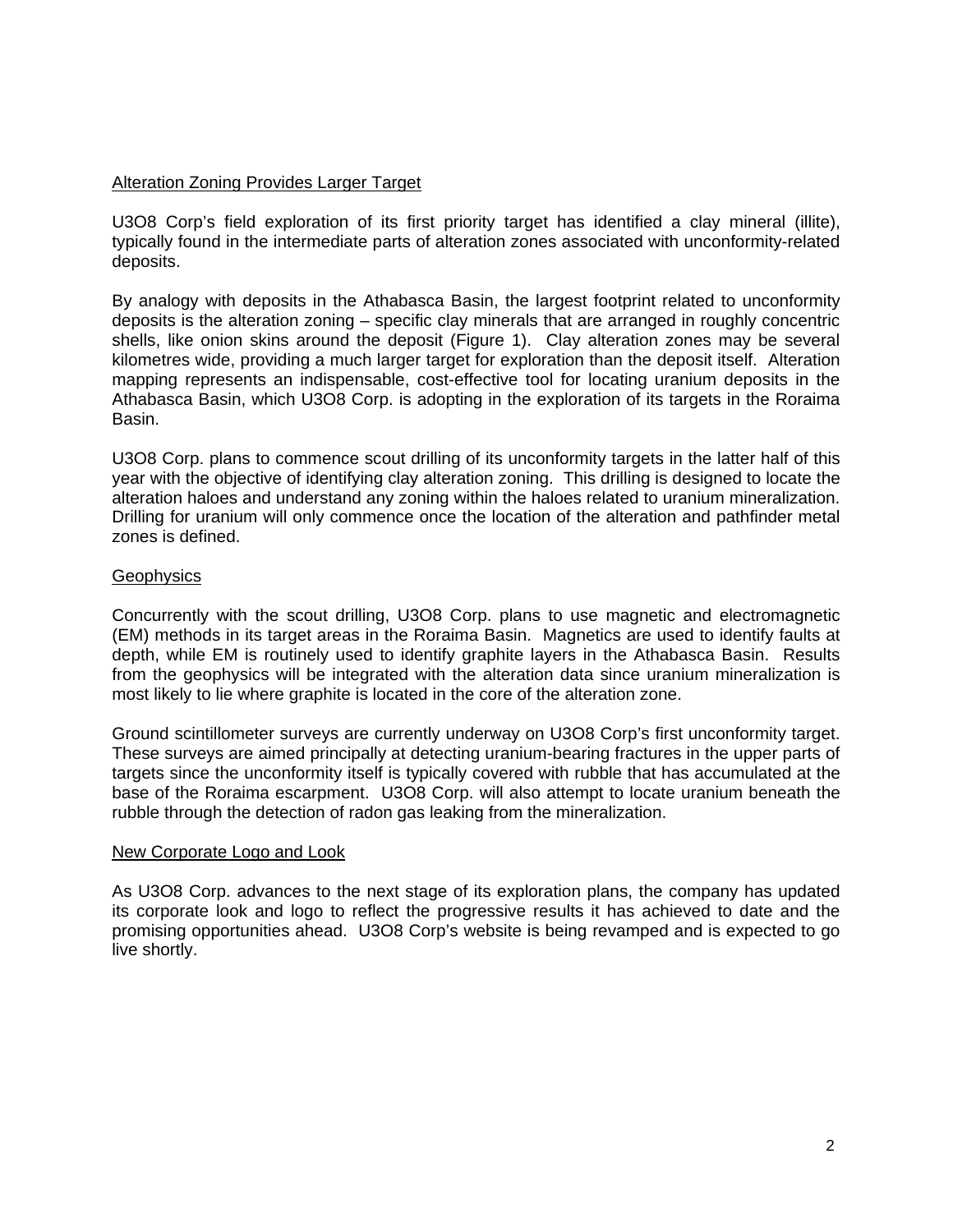#### Alteration Zoning Provides Larger Target

U3O8 Corp's field exploration of its first priority target has identified a clay mineral (illite), typically found in the intermediate parts of alteration zones associated with unconformity-related deposits.

By analogy with deposits in the Athabasca Basin, the largest footprint related to unconformity deposits is the alteration zoning – specific clay minerals that are arranged in roughly concentric shells, like onion skins around the deposit (Figure 1). Clay alteration zones may be several kilometres wide, providing a much larger target for exploration than the deposit itself. Alteration mapping represents an indispensable, cost-effective tool for locating uranium deposits in the Athabasca Basin, which U3O8 Corp. is adopting in the exploration of its targets in the Roraima Basin.

U3O8 Corp. plans to commence scout drilling of its unconformity targets in the latter half of this year with the objective of identifying clay alteration zoning. This drilling is designed to locate the alteration haloes and understand any zoning within the haloes related to uranium mineralization. Drilling for uranium will only commence once the location of the alteration and pathfinder metal zones is defined.

#### **Geophysics**

Concurrently with the scout drilling, U3O8 Corp. plans to use magnetic and electromagnetic (EM) methods in its target areas in the Roraima Basin. Magnetics are used to identify faults at depth, while EM is routinely used to identify graphite layers in the Athabasca Basin. Results from the geophysics will be integrated with the alteration data since uranium mineralization is most likely to lie where graphite is located in the core of the alteration zone.

Ground scintillometer surveys are currently underway on U3O8 Corp's first unconformity target. These surveys are aimed principally at detecting uranium-bearing fractures in the upper parts of targets since the unconformity itself is typically covered with rubble that has accumulated at the base of the Roraima escarpment. U3O8 Corp. will also attempt to locate uranium beneath the rubble through the detection of radon gas leaking from the mineralization.

#### New Corporate Logo and Look

As U3O8 Corp. advances to the next stage of its exploration plans, the company has updated its corporate look and logo to reflect the progressive results it has achieved to date and the promising opportunities ahead. U3O8 Corp's website is being revamped and is expected to go live shortly.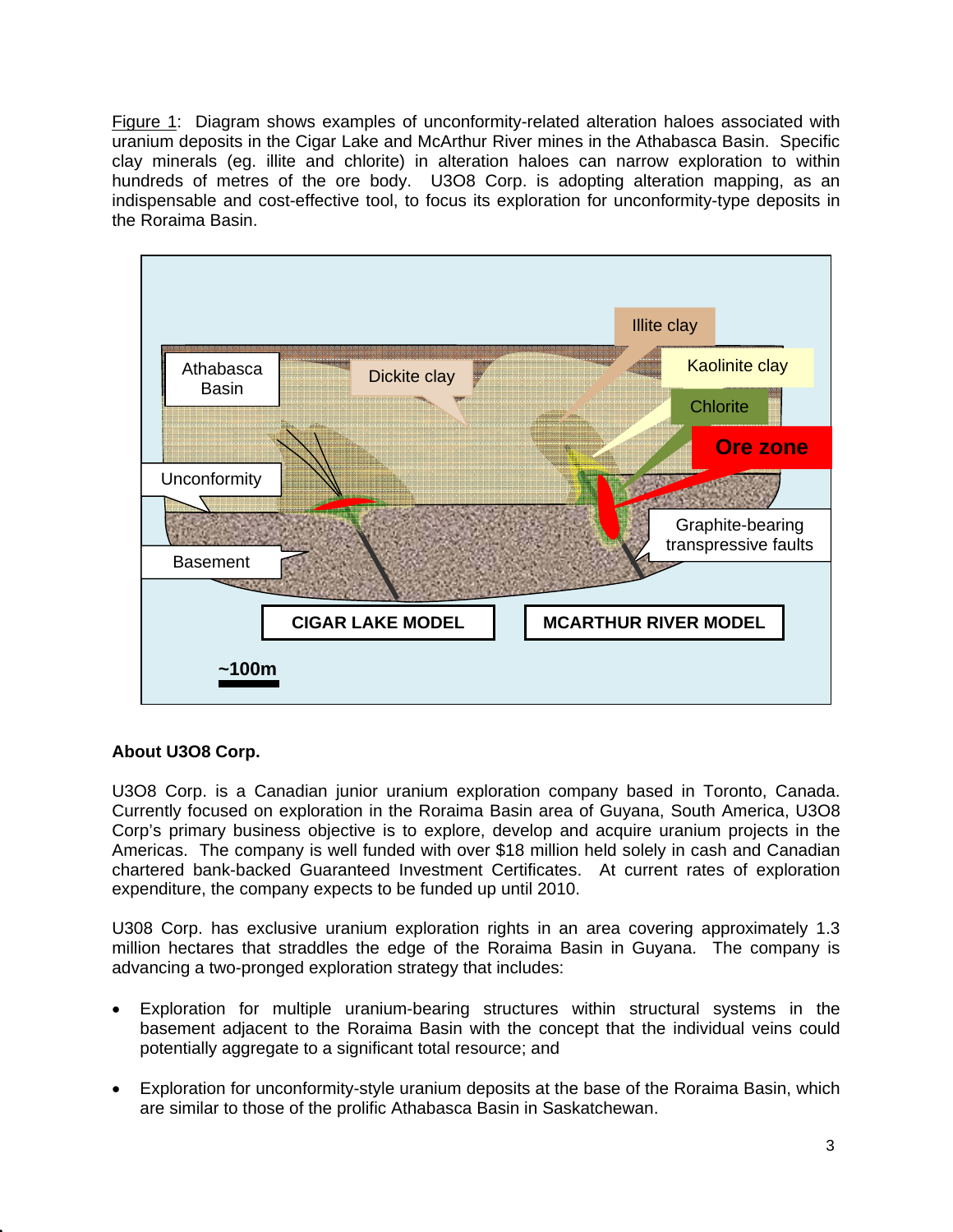Figure 1: Diagram shows examples of unconformity-related alteration haloes associated with uranium deposits in the Cigar Lake and McArthur River mines in the Athabasca Basin. Specific clay minerals (eg. illite and chlorite) in alteration haloes can narrow exploration to within hundreds of metres of the ore body. U3O8 Corp. is adopting alteration mapping, as an indispensable and cost-effective tool, to focus its exploration for unconformity-type deposits in the Roraima Basin.



## **About U3O8 Corp.**

U3O8 Corp. is a Canadian junior uranium exploration company based in Toronto, Canada. Currently focused on exploration in the Roraima Basin area of Guyana, South America, U3O8 Corp's primary business objective is to explore, develop and acquire uranium projects in the Americas. The company is well funded with over \$18 million held solely in cash and Canadian chartered bank-backed Guaranteed Investment Certificates. At current rates of exploration expenditure, the company expects to be funded up until 2010.

U308 Corp. has exclusive uranium exploration rights in an area covering approximately 1.3 million hectares that straddles the edge of the Roraima Basin in Guyana. The company is advancing a two-pronged exploration strategy that includes:

- Exploration for multiple uranium-bearing structures within structural systems in the basement adjacent to the Roraima Basin with the concept that the individual veins could potentially aggregate to a significant total resource; and
- Exploration for unconformity-style uranium deposits at the base of the Roraima Basin, which are similar to those of the prolific Athabasca Basin in Saskatchewan.